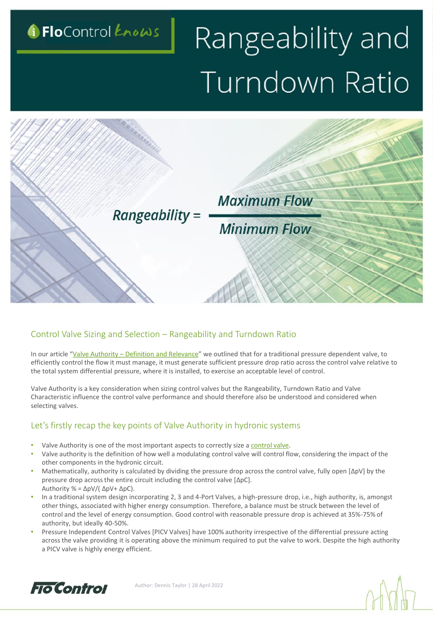

# Rangeability and Turndown Ratio



#### Control Valve Sizing and Selection – Rangeability and Turndown Ratio

In our article "Valve Authority - [Definition and Relevance](https://www.flocontrol.ltd.uk/what-is-control-valve-authority/)" we outlined that for a traditional pressure dependent valve, to efficiently control the flow it must manage, it must generate sufficient pressure drop ratio across the control valve relative to the total system differential pressure, where it is installed, to exercise an acceptable level of control.

Valve Authority is a key consideration when sizing control valves but the Rangeability, Turndown Ratio and Valve Characteristic influence the control valve performance and should therefore also be understood and considered when selecting valves.

#### Let's firstly recap the key points of Valve Authority in hydronic systems

- Valve Authority is one of the most important aspects to correctly size a [control valve](https://www.flocontrol.ltd.uk/products/dynamic-valve/control-valves/).
- Valve authority is the definition of how well a modulating control valve will control flow, considering the impact of the other components in the hydronic circuit.
- Mathematically, authority is calculated by dividing the pressure drop across the control valve, fully open [ΔpV] by the pressure drop across the entire circuit including the control valve [ΔpC]. Authority % = ΔpV/( ΔpV+ ΔpC).
- In a traditional system design incorporating 2, 3 and 4-Port Valves, a high-pressure drop, i.e., high authority, is, amongst other things, associated with higher energy consumption. Therefore, a balance must be struck between the level of control and the level of energy consumption. Good control with reasonable pressure drop is achieved at 35%-75% of authority, but ideally 40-50%.
- Pressure Independent Control Valves [PICV Valves] have 100% authority irrespective of the differential pressure acting across the valve providing it is operating above the minimum required to put the valve to work. Despite the high authority a PICV valve is highly energy efficient.



Author: Dennis Taylor | 28 April 2022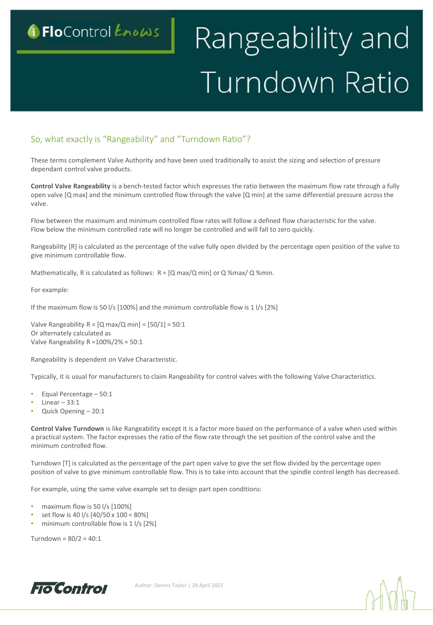### G FloControl Knows

## Rangeability and Turndown Ratio

#### So, what exactly is "Rangeability" and "Turndown Ratio"?

These terms complement Valve Authority and have been used traditionally to assist the sizing and selection of pressure dependant control valve products.

**Key Considerations for project buyers of Fan Coil Unit Valve Packages**

**Control Valve Rangeability** is a bench-tested factor which expresses the ratio between the maximum flow rate through a fully open valve [Q max] and the minimum controlled flow through the valve [Q min] at the same differential pressure across the valve.

Flow between the maximum and minimum controlled flow rates will follow a defined flow characteristic for the valve. Flow below the minimum controlled rate will no longer be controlled and will fall to zero quickly.

Rangeability [R] is calculated as the percentage of the valve fully open divided by the percentage open position of the valve to give minimum controllable flow.

Mathematically, R is calculated as follows:  $R = [Q \text{ max}/Q \text{ min}]$  or  $Q \text{ %max}/Q \text{ %min}$ .

For example:

If the maximum flow is 50 l/s [100%] and the minimum controllable flow is 1 l/s [2%]

Valve Rangeability  $R = [Q \text{ max}/Q \text{ min}] = [50/1] = 50:1$ Or alternately calculated as Valve Rangeability R =100%/2% = 50:1

Rangeability is dependent on Valve Characteristic.

Typically, it is usual for manufacturers to claim Rangeability for control valves with the following Valve Characteristics.

- Equal Percentage 50:1
- Linear  $-33:1$
- Quick Opening 20:1

**Control Valve Turndown** is like Rangeability except it is a factor more based on the performance of a valve when used within a practical system. The factor expresses the ratio of the flow rate through the set position of the control valve and the minimum controlled flow.

Turndown [T] is calculated as the percentage of the part open valve to give the set flow divided by the percentage open position of valve to give minimum controllable flow. This is to take into account that the spindle control length has decreased.

For example, using the same valve example set to design part open conditions:

- maximum flow is 50 l/s [100%]
- set flow is 40 l/s [40/50 x 100 = 80%]
- minimum controllable flow is 1 l/s [2%]

Turndown =  $80/2 = 40:1$ 



Author: Dennis Taylor | 28 April 2022